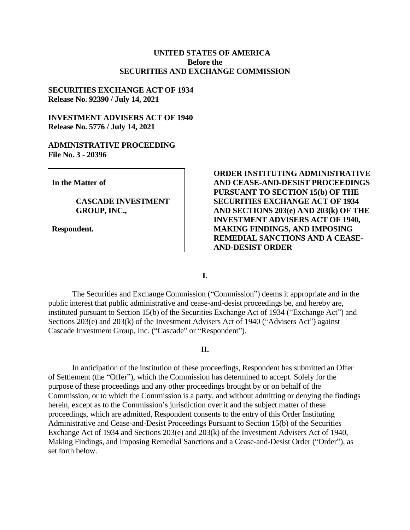## **UNITED STATES OF AMERICA Before the SECURITIES AND EXCHANGE COMMISSION**

#### **SECURITIES EXCHANGE ACT OF 1934 Release No. 92390 / July 14, 2021**

## **INVESTMENT ADVISERS ACT OF 1940 Release No. 5776 / July 14, 2021**

#### **ADMINISTRATIVE PROCEEDING File No. 3 - 20396**

**In the Matter of**

**CASCADE INVESTMENT GROUP, INC.,**

**Respondent.**

## **ORDER INSTITUTING ADMINISTRATIVE AND CEASE-AND-DESIST PROCEEDINGS PURSUANT TO SECTION 15(b) OF THE SECURITIES EXCHANGE ACT OF 1934 AND SECTIONS 203(e) AND 203(k) OF THE INVESTMENT ADVISERS ACT OF 1940, MAKING FINDINGS, AND IMPOSING REMEDIAL SANCTIONS AND A CEASE-AND-DESIST ORDER**

**I.**

The Securities and Exchange Commission ("Commission") deems it appropriate and in the public interest that public administrative and cease-and-desist proceedings be, and hereby are, instituted pursuant to Section 15(b) of the Securities Exchange Act of 1934 ("Exchange Act") and Sections 203(e) and 203(k) of the Investment Advisers Act of 1940 ("Advisers Act") against Cascade Investment Group, Inc. ("Cascade" or "Respondent").

#### **II.**

In anticipation of the institution of these proceedings, Respondent has submitted an Offer of Settlement (the "Offer"), which the Commission has determined to accept. Solely for the purpose of these proceedings and any other proceedings brought by or on behalf of the Commission, or to which the Commission is a party, and without admitting or denying the findings herein, except as to the Commission's jurisdiction over it and the subject matter of these proceedings, which are admitted, Respondent consents to the entry of this Order Instituting Administrative and Cease-and-Desist Proceedings Pursuant to Section 15(b) of the Securities Exchange Act of 1934 and Sections 203(e) and 203(k) of the Investment Advisers Act of 1940, Making Findings, and Imposing Remedial Sanctions and a Cease-and-Desist Order ("Order"), as set forth below.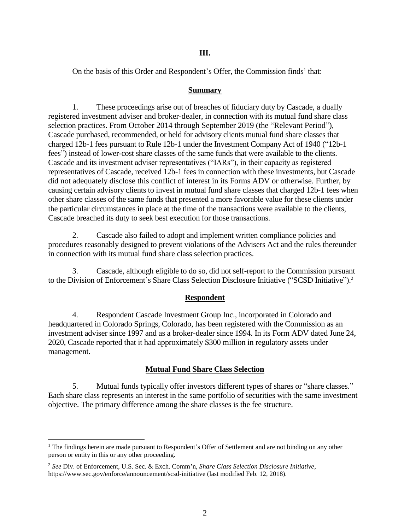## **III.**

On the basis of this Order and Respondent's Offer, the Commission finds<sup>1</sup> that:

### **Summary**

1. These proceedings arise out of breaches of fiduciary duty by Cascade, a dually registered investment adviser and broker-dealer, in connection with its mutual fund share class selection practices. From October 2014 through September 2019 (the "Relevant Period"), Cascade purchased, recommended, or held for advisory clients mutual fund share classes that charged 12b-1 fees pursuant to Rule 12b-1 under the Investment Company Act of 1940 ("12b-1 fees") instead of lower-cost share classes of the same funds that were available to the clients. Cascade and its investment adviser representatives ("IARs"), in their capacity as registered representatives of Cascade, received 12b-1 fees in connection with these investments, but Cascade did not adequately disclose this conflict of interest in its Forms ADV or otherwise. Further, by causing certain advisory clients to invest in mutual fund share classes that charged 12b-1 fees when other share classes of the same funds that presented a more favorable value for these clients under the particular circumstances in place at the time of the transactions were available to the clients, Cascade breached its duty to seek best execution for those transactions.

2. Cascade also failed to adopt and implement written compliance policies and procedures reasonably designed to prevent violations of the Advisers Act and the rules thereunder in connection with its mutual fund share class selection practices.

3. Cascade, although eligible to do so, did not self-report to the Commission pursuant to the Division of Enforcement's Share Class Selection Disclosure Initiative ("SCSD Initiative"). 2

## **Respondent**

4. Respondent Cascade Investment Group Inc., incorporated in Colorado and headquartered in Colorado Springs, Colorado, has been registered with the Commission as an investment adviser since 1997 and as a broker-dealer since 1994. In its Form ADV dated June 24, 2020, Cascade reported that it had approximately \$300 million in regulatory assets under management.

#### **Mutual Fund Share Class Selection**

5. Mutual funds typically offer investors different types of shares or "share classes." Each share class represents an interest in the same portfolio of securities with the same investment objective. The primary difference among the share classes is the fee structure.

 $\overline{a}$ 

<sup>&</sup>lt;sup>1</sup> The findings herein are made pursuant to Respondent's Offer of Settlement and are not binding on any other person or entity in this or any other proceeding.

<sup>2</sup> *See* Div. of Enforcement, U.S. Sec. & Exch. Comm'n, *Share Class Selection Disclosure Initiative*, https://www.sec.gov/enforce/announcement/scsd-initiative (last modified Feb. 12, 2018).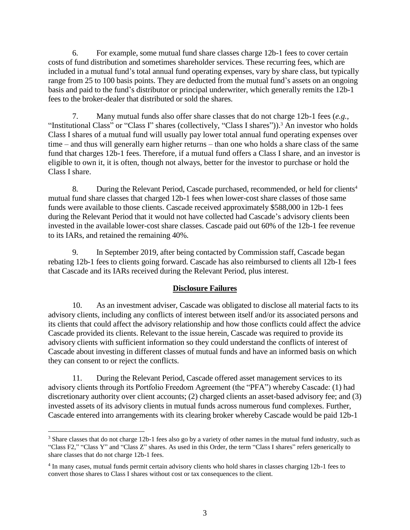6. For example, some mutual fund share classes charge 12b-1 fees to cover certain costs of fund distribution and sometimes shareholder services. These recurring fees, which are included in a mutual fund's total annual fund operating expenses, vary by share class, but typically range from 25 to 100 basis points. They are deducted from the mutual fund's assets on an ongoing basis and paid to the fund's distributor or principal underwriter, which generally remits the 12b-1 fees to the broker-dealer that distributed or sold the shares.

7. Many mutual funds also offer share classes that do not charge 12b-1 fees (*e.g.*, "Institutional Class" or "Class I" shares (collectively, "Class I shares")).<sup>3</sup> An investor who holds Class I shares of a mutual fund will usually pay lower total annual fund operating expenses over time – and thus will generally earn higher returns – than one who holds a share class of the same fund that charges 12b-1 fees. Therefore, if a mutual fund offers a Class I share, and an investor is eligible to own it, it is often, though not always, better for the investor to purchase or hold the Class I share.

8. During the Relevant Period, Cascade purchased, recommended, or held for clients<sup>4</sup> mutual fund share classes that charged 12b-1 fees when lower-cost share classes of those same funds were available to those clients. Cascade received approximately \$588,000 in 12b-1 fees during the Relevant Period that it would not have collected had Cascade's advisory clients been invested in the available lower-cost share classes. Cascade paid out 60% of the 12b-1 fee revenue to its IARs, and retained the remaining 40%.

9. In September 2019, after being contacted by Commission staff, Cascade began rebating 12b-1 fees to clients going forward. Cascade has also reimbursed to clients all 12b-1 fees that Cascade and its IARs received during the Relevant Period, plus interest.

## **Disclosure Failures**

10. As an investment adviser, Cascade was obligated to disclose all material facts to its advisory clients, including any conflicts of interest between itself and/or its associated persons and its clients that could affect the advisory relationship and how those conflicts could affect the advice Cascade provided its clients. Relevant to the issue herein, Cascade was required to provide its advisory clients with sufficient information so they could understand the conflicts of interest of Cascade about investing in different classes of mutual funds and have an informed basis on which they can consent to or reject the conflicts.

11. During the Relevant Period, Cascade offered asset management services to its advisory clients through its Portfolio Freedom Agreement (the "PFA") whereby Cascade: (1) had discretionary authority over client accounts; (2) charged clients an asset-based advisory fee; and (3) invested assets of its advisory clients in mutual funds across numerous fund complexes. Further, Cascade entered into arrangements with its clearing broker whereby Cascade would be paid 12b-1

 $\overline{a}$ 

<sup>&</sup>lt;sup>3</sup> Share classes that do not charge 12b-1 fees also go by a variety of other names in the mutual fund industry, such as "Class F2," "Class Y" and "Class Z" shares. As used in this Order, the term "Class I shares" refers generically to share classes that do not charge 12b-1 fees.

<sup>&</sup>lt;sup>4</sup> In many cases, mutual funds permit certain advisory clients who hold shares in classes charging 12b-1 fees to convert those shares to Class I shares without cost or tax consequences to the client.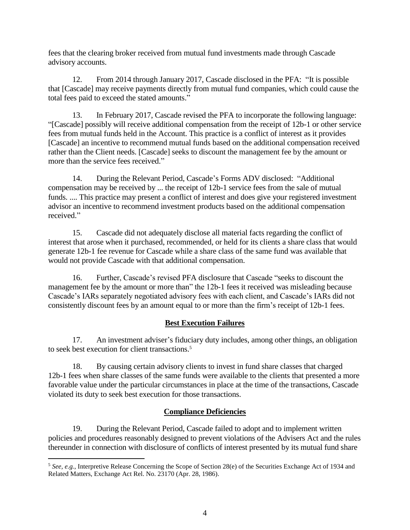fees that the clearing broker received from mutual fund investments made through Cascade advisory accounts.

12. From 2014 through January 2017, Cascade disclosed in the PFA: "It is possible that [Cascade] may receive payments directly from mutual fund companies, which could cause the total fees paid to exceed the stated amounts."

13. In February 2017, Cascade revised the PFA to incorporate the following language: "[Cascade] possibly will receive additional compensation from the receipt of 12b-1 or other service fees from mutual funds held in the Account. This practice is a conflict of interest as it provides [Cascade] an incentive to recommend mutual funds based on the additional compensation received rather than the Client needs. [Cascade] seeks to discount the management fee by the amount or more than the service fees received."

14. During the Relevant Period, Cascade's Forms ADV disclosed: "Additional compensation may be received by ... the receipt of 12b-1 service fees from the sale of mutual funds. .... This practice may present a conflict of interest and does give your registered investment advisor an incentive to recommend investment products based on the additional compensation received."

15. Cascade did not adequately disclose all material facts regarding the conflict of interest that arose when it purchased, recommended, or held for its clients a share class that would generate 12b-1 fee revenue for Cascade while a share class of the same fund was available that would not provide Cascade with that additional compensation.

16. Further, Cascade's revised PFA disclosure that Cascade "seeks to discount the management fee by the amount or more than" the 12b-1 fees it received was misleading because Cascade's IARs separately negotiated advisory fees with each client, and Cascade's IARs did not consistently discount fees by an amount equal to or more than the firm's receipt of 12b-1 fees.

# **Best Execution Failures**

17. An investment adviser's fiduciary duty includes, among other things, an obligation to seek best execution for client transactions. 5

18. By causing certain advisory clients to invest in fund share classes that charged 12b-1 fees when share classes of the same funds were available to the clients that presented a more favorable value under the particular circumstances in place at the time of the transactions, Cascade violated its duty to seek best execution for those transactions.

# **Compliance Deficiencies**

19. During the Relevant Period, Cascade failed to adopt and to implement written policies and procedures reasonably designed to prevent violations of the Advisers Act and the rules thereunder in connection with disclosure of conflicts of interest presented by its mutual fund share

 $\overline{a}$ 

<sup>5</sup> *See, e.g.*, Interpretive Release Concerning the Scope of Section 28(e) of the Securities Exchange Act of 1934 and Related Matters, Exchange Act Rel. No. 23170 (Apr. 28, 1986).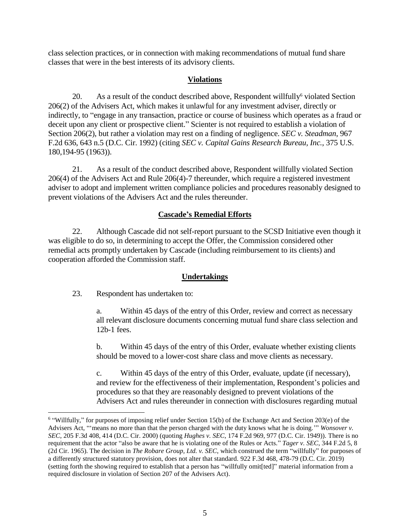class selection practices, or in connection with making recommendations of mutual fund share classes that were in the best interests of its advisory clients.

## **Violations**

20. As a result of the conduct described above, Respondent willfully<sup>6</sup> violated Section 206(2) of the Advisers Act, which makes it unlawful for any investment adviser, directly or indirectly, to "engage in any transaction, practice or course of business which operates as a fraud or deceit upon any client or prospective client." Scienter is not required to establish a violation of Section 206(2), but rather a violation may rest on a finding of negligence. *SEC v. Steadman*, 967 F.2d 636, 643 n.5 (D.C. Cir. 1992) (citing *SEC v. Capital Gains Research Bureau, Inc.*, 375 U.S. 180,194-95 (1963)).

21. As a result of the conduct described above, Respondent willfully violated Section 206(4) of the Advisers Act and Rule 206(4)-7 thereunder, which require a registered investment adviser to adopt and implement written compliance policies and procedures reasonably designed to prevent violations of the Advisers Act and the rules thereunder.

## **Cascade's Remedial Efforts**

22. Although Cascade did not self-report pursuant to the SCSD Initiative even though it was eligible to do so, in determining to accept the Offer, the Commission considered other remedial acts promptly undertaken by Cascade (including reimbursement to its clients) and cooperation afforded the Commission staff.

# **Undertakings**

23. Respondent has undertaken to:

 $\overline{a}$ 

a. Within 45 days of the entry of this Order, review and correct as necessary all relevant disclosure documents concerning mutual fund share class selection and 12b-1 fees.

b. Within 45 days of the entry of this Order, evaluate whether existing clients should be moved to a lower-cost share class and move clients as necessary.

c. Within 45 days of the entry of this Order, evaluate, update (if necessary), and review for the effectiveness of their implementation, Respondent's policies and procedures so that they are reasonably designed to prevent violations of the Advisers Act and rules thereunder in connection with disclosures regarding mutual

<sup>&</sup>lt;sup>6</sup> "Willfully," for purposes of imposing relief under Section 15(b) of the Exchange Act and Section 203(e) of the Advisers Act, "'means no more than that the person charged with the duty knows what he is doing.'" *Wonsover v. SEC*, 205 F.3d 408, 414 (D.C. Cir. 2000) (quoting *Hughes v. SEC*, 174 F.2d 969, 977 (D.C. Cir. 1949)). There is no requirement that the actor "also be aware that he is violating one of the Rules or Acts." *Tager v. SEC*, 344 F.2d 5, 8 (2d Cir. 1965). The decision in *The Robare Group, Ltd. v. SEC*, which construed the term "willfully" for purposes of a differently structured statutory provision, does not alter that standard. 922 F.3d 468, 478-79 (D.C. Cir. 2019) (setting forth the showing required to establish that a person has "willfully omit[ted]" material information from a required disclosure in violation of Section 207 of the Advisers Act).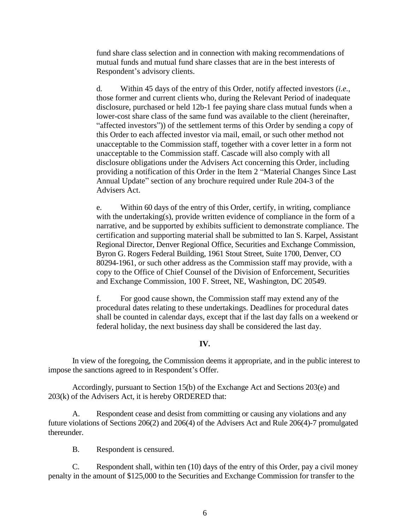fund share class selection and in connection with making recommendations of mutual funds and mutual fund share classes that are in the best interests of Respondent's advisory clients.

d. Within 45 days of the entry of this Order, notify affected investors (*i.e.*, those former and current clients who, during the Relevant Period of inadequate disclosure, purchased or held 12b-1 fee paying share class mutual funds when a lower-cost share class of the same fund was available to the client (hereinafter, "affected investors")) of the settlement terms of this Order by sending a copy of this Order to each affected investor via mail, email, or such other method not unacceptable to the Commission staff, together with a cover letter in a form not unacceptable to the Commission staff. Cascade will also comply with all disclosure obligations under the Advisers Act concerning this Order, including providing a notification of this Order in the Item 2 "Material Changes Since Last Annual Update" section of any brochure required under Rule 204-3 of the Advisers Act.

e. Within 60 days of the entry of this Order, certify, in writing, compliance with the undertaking(s), provide written evidence of compliance in the form of a narrative, and be supported by exhibits sufficient to demonstrate compliance. The certification and supporting material shall be submitted to Ian S. Karpel, Assistant Regional Director, Denver Regional Office, Securities and Exchange Commission, Byron G. Rogers Federal Building, 1961 Stout Street, Suite 1700, Denver, CO 80294-1961, or such other address as the Commission staff may provide, with a copy to the Office of Chief Counsel of the Division of Enforcement, Securities and Exchange Commission, 100 F. Street, NE, Washington, DC 20549.

f. For good cause shown, the Commission staff may extend any of the procedural dates relating to these undertakings. Deadlines for procedural dates shall be counted in calendar days, except that if the last day falls on a weekend or federal holiday, the next business day shall be considered the last day.

## **IV.**

In view of the foregoing, the Commission deems it appropriate, and in the public interest to impose the sanctions agreed to in Respondent's Offer.

Accordingly, pursuant to Section 15(b) of the Exchange Act and Sections 203(e) and 203(k) of the Advisers Act, it is hereby ORDERED that:

A. Respondent cease and desist from committing or causing any violations and any future violations of Sections 206(2) and 206(4) of the Advisers Act and Rule 206(4)-7 promulgated thereunder.

B. Respondent is censured.

C. Respondent shall, within ten (10) days of the entry of this Order, pay a civil money penalty in the amount of \$125,000 to the Securities and Exchange Commission for transfer to the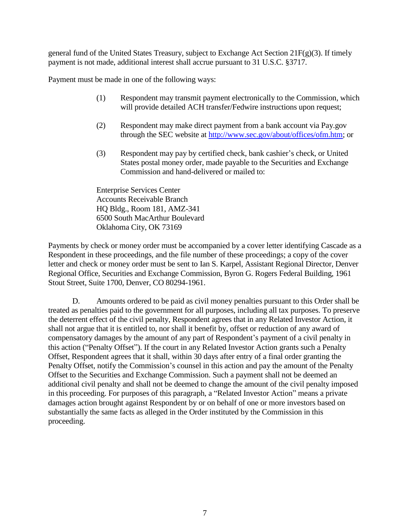general fund of the United States Treasury, subject to Exchange Act Section  $21F(g)(3)$ . If timely payment is not made, additional interest shall accrue pursuant to 31 U.S.C. §3717.

Payment must be made in one of the following ways:

- (1) Respondent may transmit payment electronically to the Commission, which will provide detailed ACH transfer/Fedwire instructions upon request;
- (2) Respondent may make direct payment from a bank account via Pay.gov through the SEC website at [http://www.sec.gov/about/offices/ofm.htm;](http://www.sec.gov/about/offices/ofm.htm) or
- (3) Respondent may pay by certified check, bank cashier's check, or United States postal money order, made payable to the Securities and Exchange Commission and hand-delivered or mailed to:

Enterprise Services Center Accounts Receivable Branch HQ Bldg., Room 181, AMZ-341 6500 South MacArthur Boulevard Oklahoma City, OK 73169

Payments by check or money order must be accompanied by a cover letter identifying Cascade as a Respondent in these proceedings, and the file number of these proceedings; a copy of the cover letter and check or money order must be sent to Ian S. Karpel, Assistant Regional Director, Denver Regional Office, Securities and Exchange Commission, Byron G. Rogers Federal Building, 1961 Stout Street, Suite 1700, Denver, CO 80294-1961.

D. Amounts ordered to be paid as civil money penalties pursuant to this Order shall be treated as penalties paid to the government for all purposes, including all tax purposes. To preserve the deterrent effect of the civil penalty, Respondent agrees that in any Related Investor Action, it shall not argue that it is entitled to, nor shall it benefit by, offset or reduction of any award of compensatory damages by the amount of any part of Respondent's payment of a civil penalty in this action ("Penalty Offset"). If the court in any Related Investor Action grants such a Penalty Offset, Respondent agrees that it shall, within 30 days after entry of a final order granting the Penalty Offset, notify the Commission's counsel in this action and pay the amount of the Penalty Offset to the Securities and Exchange Commission. Such a payment shall not be deemed an additional civil penalty and shall not be deemed to change the amount of the civil penalty imposed in this proceeding. For purposes of this paragraph, a "Related Investor Action" means a private damages action brought against Respondent by or on behalf of one or more investors based on substantially the same facts as alleged in the Order instituted by the Commission in this proceeding.